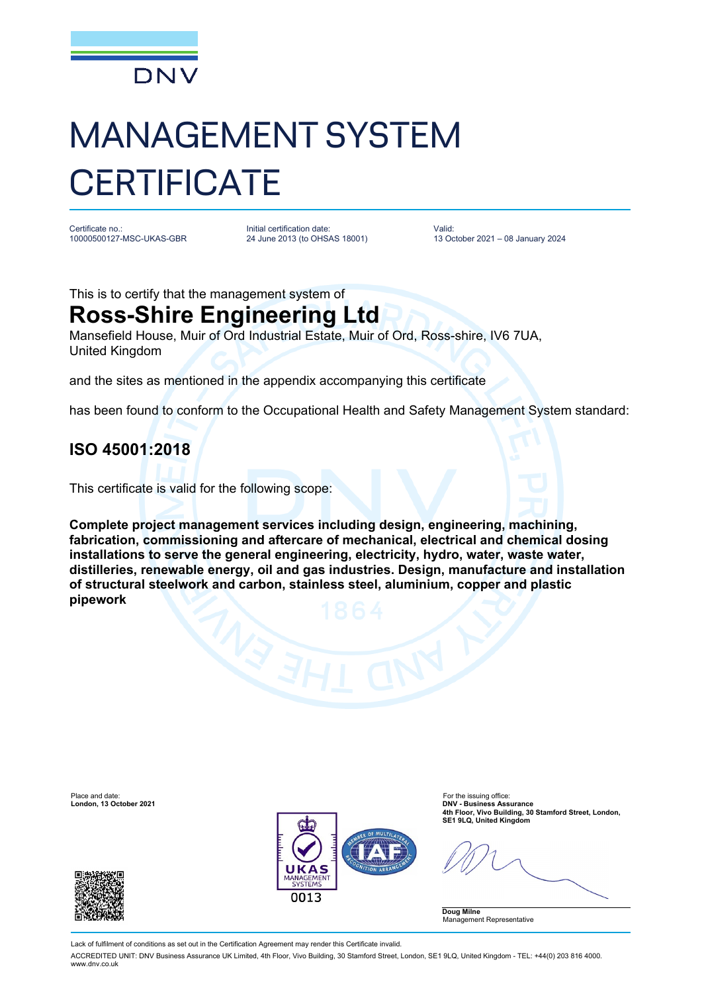

# MANAGEMENT SYSTEM **CERTIFICATE**

Certificate no.: 10000500127-MSC-UKAS-GBR Initial certification date: 24 June 2013 (to OHSAS 18001)

Valid: 13 October 2021 – 08 January 2024

This is to certify that the management system of

## **Ross-Shire Engineering Ltd**

Mansefield House, Muir of Ord Industrial Estate, Muir of Ord, Ross-shire, IV6 7UA, United Kingdom

and the sites as mentioned in the appendix accompanying this certificate

has been found to conform to the Occupational Health and Safety Management System standard:

### **ISO 45001:2018**

This certificate is valid for the following scope:

**Complete project management services including design, engineering, machining, fabrication, commissioning and aftercare of mechanical, electrical and chemical dosing installations to serve the general engineering, electricity, hydro, water, waste water, distilleries, renewable energy, oil and gas industries. Design, manufacture and installation of structural steelwork and carbon, stainless steel, aluminium, copper and plastic pipework**



**London, 13 October 2021 DNV - Business Assurance 4th Floor, Vivo Building, 30 Stamford Street, London, SE1 9LQ, United Kingdom**

**Doug Milne** Management Representative

Lack of fulfilment of conditions as set out in the Certification Agreement may render this Certificate invalid.

ACCREDITED UNIT: DNV Business Assurance UK Limited, 4th Floor, Vivo Building, 30 Stamford Street, London, SE1 9LQ, United Kingdom - TEL: +44(0) 203 816 4000. www.dnv.co.uk